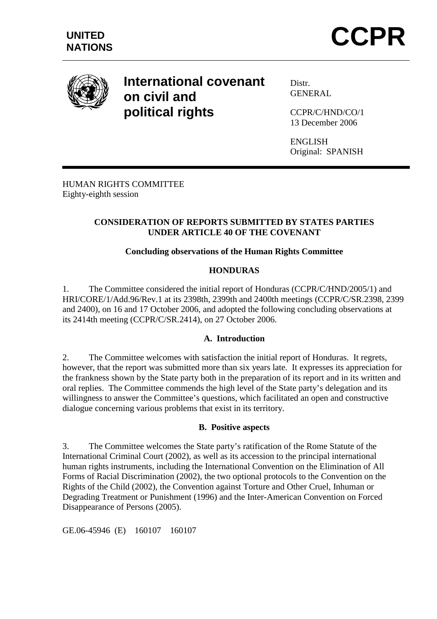

# **International covenant on civil and political rights**

Distr. GENERAL

CCPR/C/HND/CO/1 13 December 2006

ENGLISH Original: SPANISH

HUMAN RIGHTS COMMITTEE Eighty-eighth session

## **CONSIDERATION OF REPORTS SUBMITTED BY STATES PARTIES UNDER ARTICLE 40 OF THE COVENANT**

## **Concluding observations of the Human Rights Committee**

### **HONDURAS**

1. The Committee considered the initial report of Honduras (CCPR/C/HND/2005/1) and HRI/CORE/1/Add.96/Rev.1 at its 2398th, 2399th and 2400th meetings (CCPR/C/SR.2398, 2399 and 2400), on 16 and 17 October 2006, and adopted the following concluding observations at its 2414th meeting (CCPR/C/SR.2414), on 27 October 2006.

### **A. Introduction**

2. The Committee welcomes with satisfaction the initial report of Honduras. It regrets, however, that the report was submitted more than six years late. It expresses its appreciation for the frankness shown by the State party both in the preparation of its report and in its written and oral replies. The Committee commends the high level of the State party's delegation and its willingness to answer the Committee's questions, which facilitated an open and constructive dialogue concerning various problems that exist in its territory.

#### **B. Positive aspects**

3. The Committee welcomes the State party's ratification of the Rome Statute of the International Criminal Court (2002), as well as its accession to the principal international human rights instruments, including the International Convention on the Elimination of All Forms of Racial Discrimination (2002), the two optional protocols to the Convention on the Rights of the Child (2002), the Convention against Torture and Other Cruel, Inhuman or Degrading Treatment or Punishment (1996) and the Inter-American Convention on Forced Disappearance of Persons (2005).

GE.06-45946 (E) 160107 160107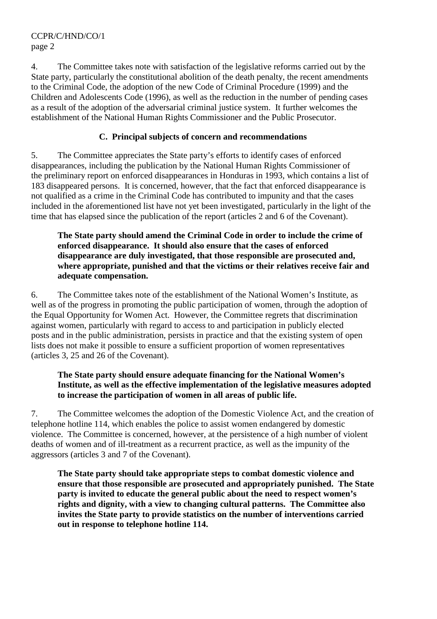CCPR/C/HND/CO/1 page 2

4. The Committee takes note with satisfaction of the legislative reforms carried out by the State party, particularly the constitutional abolition of the death penalty, the recent amendments to the Criminal Code, the adoption of the new Code of Criminal Procedure (1999) and the Children and Adolescents Code (1996), as well as the reduction in the number of pending cases as a result of the adoption of the adversarial criminal justice system. It further welcomes the establishment of the National Human Rights Commissioner and the Public Prosecutor.

## **C. Principal subjects of concern and recommendations**

5. The Committee appreciates the State party's efforts to identify cases of enforced disappearances, including the publication by the National Human Rights Commissioner of the preliminary report on enforced disappearances in Honduras in 1993, which contains a list of 183 disappeared persons. It is concerned, however, that the fact that enforced disappearance is not qualified as a crime in the Criminal Code has contributed to impunity and that the cases included in the aforementioned list have not yet been investigated, particularly in the light of the time that has elapsed since the publication of the report (articles 2 and 6 of the Covenant).

#### **The State party should amend the Criminal Code in order to include the crime of enforced disappearance. It should also ensure that the cases of enforced disappearance are duly investigated, that those responsible are prosecuted and, where appropriate, punished and that the victims or their relatives receive fair and adequate compensation.**

6. The Committee takes note of the establishment of the National Women's Institute, as well as of the progress in promoting the public participation of women, through the adoption of the Equal Opportunity for Women Act. However, the Committee regrets that discrimination against women, particularly with regard to access to and participation in publicly elected posts and in the public administration, persists in practice and that the existing system of open lists does not make it possible to ensure a sufficient proportion of women representatives (articles 3, 25 and 26 of the Covenant).

## **The State party should ensure adequate financing for the National Women's Institute, as well as the effective implementation of the legislative measures adopted to increase the participation of women in all areas of public life.**

7. The Committee welcomes the adoption of the Domestic Violence Act, and the creation of telephone hotline 114, which enables the police to assist women endangered by domestic violence. The Committee is concerned, however, at the persistence of a high number of violent deaths of women and of ill-treatment as a recurrent practice, as well as the impunity of the aggressors (articles 3 and 7 of the Covenant).

**The State party should take appropriate steps to combat domestic violence and ensure that those responsible are prosecuted and appropriately punished. The State party is invited to educate the general public about the need to respect women's rights and dignity, with a view to changing cultural patterns. The Committee also invites the State party to provide statistics on the number of interventions carried out in response to telephone hotline 114.**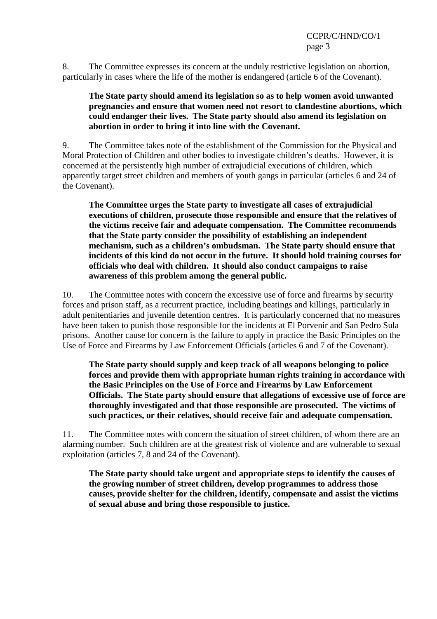8. The Committee expresses its concern at the unduly restrictive legislation on abortion, particularly in cases where the life of the mother is endangered (article 6 of the Covenant).

### **The State party should amend its legislation so as to help women avoid unwanted pregnancies and ensure that women need not resort to clandestine abortions, which could endanger their lives. The State party should also amend its legislation on abortion in order to bring it into line with the Covenant.**

9. The Committee takes note of the establishment of the Commission for the Physical and Moral Protection of Children and other bodies to investigate children's deaths. However, it is concerned at the persistently high number of extrajudicial executions of children, which apparently target street children and members of youth gangs in particular (articles 6 and 24 of the Covenant).

**The Committee urges the State party to investigate all cases of extrajudicial executions of children, prosecute those responsible and ensure that the relatives of the victims receive fair and adequate compensation. The Committee recommends that the State party consider the possibility of establishing an independent mechanism, such as a children's ombudsman. The State party should ensure that incidents of this kind do not occur in the future. It should hold training courses for officials who deal with children. It should also conduct campaigns to raise awareness of this problem among the general public.** 

10. The Committee notes with concern the excessive use of force and firearms by security forces and prison staff, as a recurrent practice, including beatings and killings, particularly in adult penitentiaries and juvenile detention centres. It is particularly concerned that no measures have been taken to punish those responsible for the incidents at El Porvenir and San Pedro Sula prisons. Another cause for concern is the failure to apply in practice the Basic Principles on the Use of Force and Firearms by Law Enforcement Officials (articles 6 and 7 of the Covenant).

**The State party should supply and keep track of all weapons belonging to police forces and provide them with appropriate human rights training in accordance with the Basic Principles on the Use of Force and Firearms by Law Enforcement Officials. The State party should ensure that allegations of excessive use of force are thoroughly investigated and that those responsible are prosecuted. The victims of such practices, or their relatives, should receive fair and adequate compensation.** 

11. The Committee notes with concern the situation of street children, of whom there are an alarming number. Such children are at the greatest risk of violence and are vulnerable to sexual exploitation (articles 7, 8 and 24 of the Covenant).

**The State party should take urgent and appropriate steps to identify the causes of the growing number of street children, develop programmes to address those causes, provide shelter for the children, identify, compensate and assist the victims of sexual abuse and bring those responsible to justice.**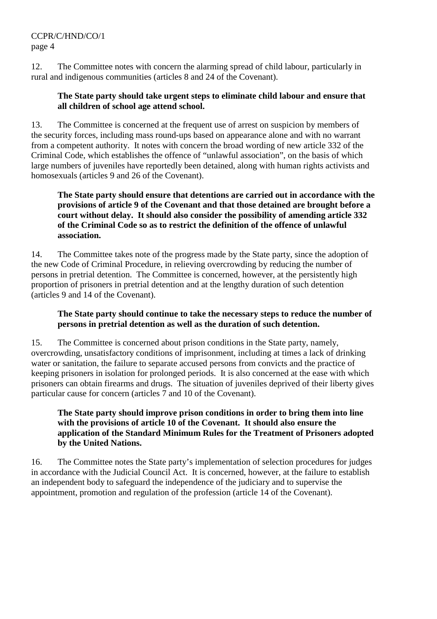## CCPR/C/HND/CO/1 page 4

12. The Committee notes with concern the alarming spread of child labour, particularly in rural and indigenous communities (articles 8 and 24 of the Covenant).

### **The State party should take urgent steps to eliminate child labour and ensure that all children of school age attend school.**

13. The Committee is concerned at the frequent use of arrest on suspicion by members of the security forces, including mass round-ups based on appearance alone and with no warrant from a competent authority. It notes with concern the broad wording of new article 332 of the Criminal Code, which establishes the offence of "unlawful association", on the basis of which large numbers of juveniles have reportedly been detained, along with human rights activists and homosexuals (articles 9 and 26 of the Covenant).

**The State party should ensure that detentions are carried out in accordance with the provisions of article 9 of the Covenant and that those detained are brought before a court without delay. It should also consider the possibility of amending article 332 of the Criminal Code so as to restrict the definition of the offence of unlawful association.** 

14. The Committee takes note of the progress made by the State party, since the adoption of the new Code of Criminal Procedure, in relieving overcrowding by reducing the number of persons in pretrial detention. The Committee is concerned, however, at the persistently high proportion of prisoners in pretrial detention and at the lengthy duration of such detention (articles 9 and 14 of the Covenant).

### **The State party should continue to take the necessary steps to reduce the number of persons in pretrial detention as well as the duration of such detention.**

15. The Committee is concerned about prison conditions in the State party, namely, overcrowding, unsatisfactory conditions of imprisonment, including at times a lack of drinking water or sanitation, the failure to separate accused persons from convicts and the practice of keeping prisoners in isolation for prolonged periods. It is also concerned at the ease with which prisoners can obtain firearms and drugs. The situation of juveniles deprived of their liberty gives particular cause for concern (articles 7 and 10 of the Covenant).

## **The State party should improve prison conditions in order to bring them into line with the provisions of article 10 of the Covenant. It should also ensure the application of the Standard Minimum Rules for the Treatment of Prisoners adopted by the United Nations.**

16. The Committee notes the State party's implementation of selection procedures for judges in accordance with the Judicial Council Act. It is concerned, however, at the failure to establish an independent body to safeguard the independence of the judiciary and to supervise the appointment, promotion and regulation of the profession (article 14 of the Covenant).